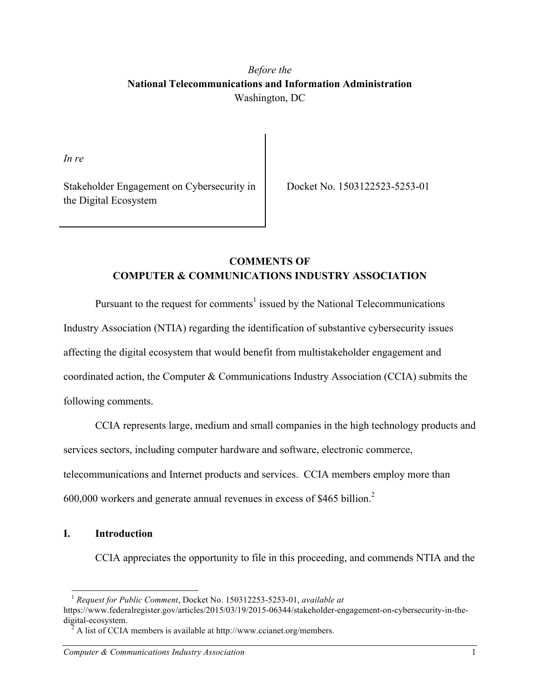# *Before the* **National Telecommunications and Information Administration** Washington, DC

*In re*

Stakeholder Engagement on Cybersecurity in the Digital Ecosystem

Docket No. 1503122523-5253-01

# **COMMENTS OF COMPUTER & COMMUNICATIONS INDUSTRY ASSOCIATION**

Pursuant to the request for comments<sup>1</sup> issued by the National Telecommunications

Industry Association (NTIA) regarding the identification of substantive cybersecurity issues

affecting the digital ecosystem that would benefit from multistakeholder engagement and

coordinated action, the Computer & Communications Industry Association (CCIA) submits the

following comments.

CCIA represents large, medium and small companies in the high technology products and

services sectors, including computer hardware and software, electronic commerce,

telecommunications and Internet products and services. CCIA members employ more than

600,000 workers and generate annual revenues in excess of \$465 billion.2

## **I. Introduction**

CCIA appreciates the opportunity to file in this proceeding, and commends NTIA and the

 <sup>1</sup> *Request for Public Comment*, Docket No. 150312253-5253-01, *available at*

https://www.federalregister.gov/articles/2015/03/19/2015-06344/stakeholder-engagement-on-cybersecurity-in-thedigital-ecosystem.<br><sup>2</sup> A list of CCIA members is available at http://www.ccianet.org/members.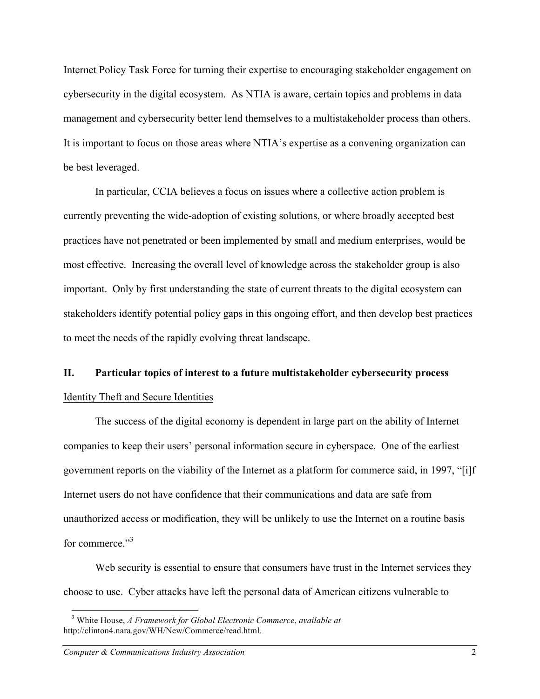Internet Policy Task Force for turning their expertise to encouraging stakeholder engagement on cybersecurity in the digital ecosystem. As NTIA is aware, certain topics and problems in data management and cybersecurity better lend themselves to a multistakeholder process than others. It is important to focus on those areas where NTIA's expertise as a convening organization can be best leveraged.

In particular, CCIA believes a focus on issues where a collective action problem is currently preventing the wide-adoption of existing solutions, or where broadly accepted best practices have not penetrated or been implemented by small and medium enterprises, would be most effective. Increasing the overall level of knowledge across the stakeholder group is also important. Only by first understanding the state of current threats to the digital ecosystem can stakeholders identify potential policy gaps in this ongoing effort, and then develop best practices to meet the needs of the rapidly evolving threat landscape.

## **II. Particular topics of interest to a future multistakeholder cybersecurity process**

## Identity Theft and Secure Identities

The success of the digital economy is dependent in large part on the ability of Internet companies to keep their users' personal information secure in cyberspace. One of the earliest government reports on the viability of the Internet as a platform for commerce said, in 1997, "[i]f Internet users do not have confidence that their communications and data are safe from unauthorized access or modification, they will be unlikely to use the Internet on a routine basis for commerce<sup>"3</sup>

Web security is essential to ensure that consumers have trust in the Internet services they choose to use. Cyber attacks have left the personal data of American citizens vulnerable to

 <sup>3</sup> White House, *A Framework for Global Electronic Commerce*, *available at* http://clinton4.nara.gov/WH/New/Commerce/read.html.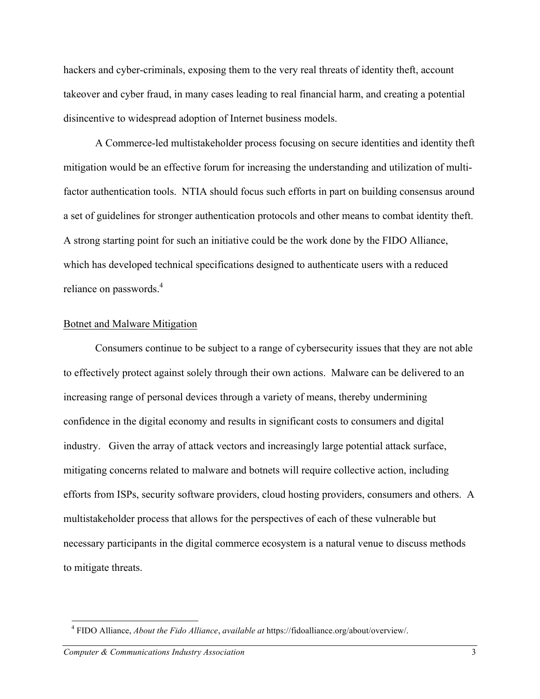hackers and cyber-criminals, exposing them to the very real threats of identity theft, account takeover and cyber fraud, in many cases leading to real financial harm, and creating a potential disincentive to widespread adoption of Internet business models.

A Commerce-led multistakeholder process focusing on secure identities and identity theft mitigation would be an effective forum for increasing the understanding and utilization of multifactor authentication tools. NTIA should focus such efforts in part on building consensus around a set of guidelines for stronger authentication protocols and other means to combat identity theft. A strong starting point for such an initiative could be the work done by the FIDO Alliance, which has developed technical specifications designed to authenticate users with a reduced reliance on passwords.<sup>4</sup>

#### Botnet and Malware Mitigation

Consumers continue to be subject to a range of cybersecurity issues that they are not able to effectively protect against solely through their own actions. Malware can be delivered to an increasing range of personal devices through a variety of means, thereby undermining confidence in the digital economy and results in significant costs to consumers and digital industry. Given the array of attack vectors and increasingly large potential attack surface, mitigating concerns related to malware and botnets will require collective action, including efforts from ISPs, security software providers, cloud hosting providers, consumers and others. A multistakeholder process that allows for the perspectives of each of these vulnerable but necessary participants in the digital commerce ecosystem is a natural venue to discuss methods to mitigate threats.

 <sup>4</sup> FIDO Alliance, *About the Fido Alliance*, *available at* https://fidoalliance.org/about/overview/.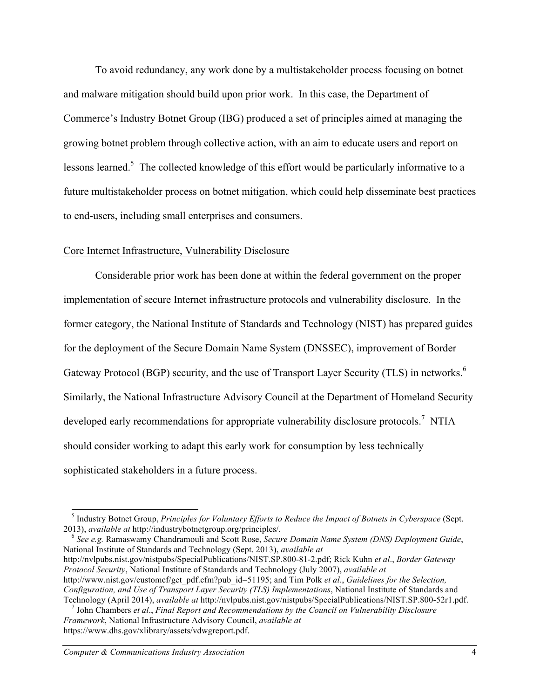To avoid redundancy, any work done by a multistakeholder process focusing on botnet and malware mitigation should build upon prior work. In this case, the Department of Commerce's Industry Botnet Group (IBG) produced a set of principles aimed at managing the growing botnet problem through collective action, with an aim to educate users and report on lessons learned.<sup>5</sup> The collected knowledge of this effort would be particularly informative to a future multistakeholder process on botnet mitigation, which could help disseminate best practices to end-users, including small enterprises and consumers.

## Core Internet Infrastructure, Vulnerability Disclosure

Considerable prior work has been done at within the federal government on the proper implementation of secure Internet infrastructure protocols and vulnerability disclosure. In the former category, the National Institute of Standards and Technology (NIST) has prepared guides for the deployment of the Secure Domain Name System (DNSSEC), improvement of Border Gateway Protocol (BGP) security, and the use of Transport Layer Security (TLS) in networks.<sup>6</sup> Similarly, the National Infrastructure Advisory Council at the Department of Homeland Security developed early recommendations for appropriate vulnerability disclosure protocols.<sup>7</sup> NTIA should consider working to adapt this early work for consumption by less technically sophisticated stakeholders in a future process.

National Institute of Standards and Technology (Sept. 2013), *available at* http://nvlpubs.nist.gov/nistpubs/SpecialPublications/NIST.SP.800-81-2.pdf; Rick Kuhn *et al*., *Border Gateway Protocol Security*, National Institute of Standards and Technology (July 2007), *available at* http://www.nist.gov/customcf/get\_pdf.cfm?pub\_id=51195; and Tim Polk *et al*., *Guidelines for the Selection, Configuration, and Use of Transport Layer Security (TLS) Implementations*, National Institute of Standards and Technology (April 2014), available at http://nvlpubs.nist.gov/nistpubs/SpecialPublications/NIST.SP.800-52r1.pdf.<br><sup>7</sup> John Chambers *et al.*, *Final Report and Recommendations by the Council on Vulnerability Disclosure* 

 <sup>5</sup> Industry Botnet Group, *Principles for Voluntary Efforts to Reduce the Impact of Botnets in Cyberspace* (Sept. 2013), *available at* http://industrybotnetgroup.org/principles/. <sup>6</sup> *See e.g.* Ramaswamy Chandramouli and Scott Rose, *Secure Domain Name System (DNS) Deployment Guide*,

*Framework*, National Infrastructure Advisory Council, *available at* https://www.dhs.gov/xlibrary/assets/vdwgreport.pdf.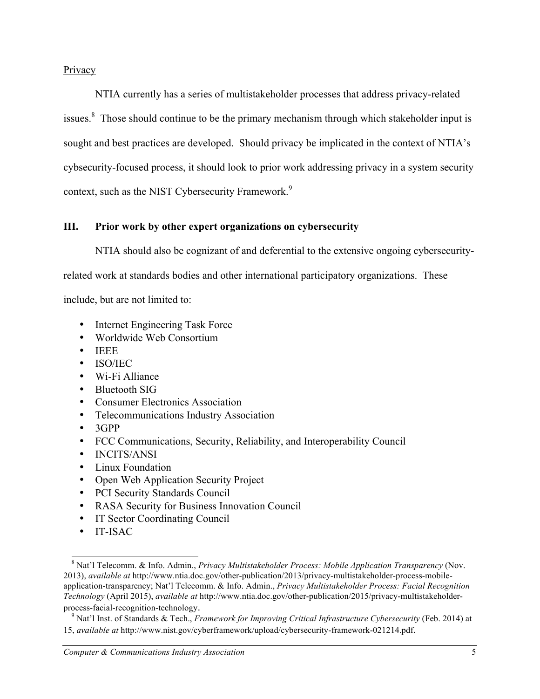## Privacy

NTIA currently has a series of multistakeholder processes that address privacy-related issues. $\delta$  Those should continue to be the primary mechanism through which stakeholder input is sought and best practices are developed. Should privacy be implicated in the context of NTIA's cybsecurity-focused process, it should look to prior work addressing privacy in a system security context, such as the NIST Cybersecurity Framework.<sup>9</sup>

## **III. Prior work by other expert organizations on cybersecurity**

NTIA should also be cognizant of and deferential to the extensive ongoing cybersecurity-

related work at standards bodies and other international participatory organizations. These

include, but are not limited to:

- Internet Engineering Task Force
- Worldwide Web Consortium
- IEEE
- ISO/IEC
- Wi-Fi Alliance
- Bluetooth SIG
- Consumer Electronics Association
- Telecommunications Industry Association
- 3GPP
- FCC Communications, Security, Reliability, and Interoperability Council
- INCITS/ANSI
- Linux Foundation
- Open Web Application Security Project
- PCI Security Standards Council
- RASA Security for Business Innovation Council
- IT Sector Coordinating Council
- IT-ISAC

 <sup>8</sup> Nat'l Telecomm. & Info. Admin., *Privacy Multistakeholder Process: Mobile Application Transparency* (Nov. 2013), *available at* http://www.ntia.doc.gov/other-publication/2013/privacy-multistakeholder-process-mobileapplication-transparency; Nat'l Telecomm. & Info. Admin., *Privacy Multistakeholder Process: Facial Recognition Technology* (April 2015), *available at* http://www.ntia.doc.gov/other-publication/2015/privacy-multistakeholderprocess-facial-recognition-technology. <sup>9</sup> Nat'l Inst. of Standards & Tech., *Framework for Improving Critical Infrastructure Cybersecurity* (Feb. 2014) at

<sup>15,</sup> *available at* http://www.nist.gov/cyberframework/upload/cybersecurity-framework-021214.pdf.